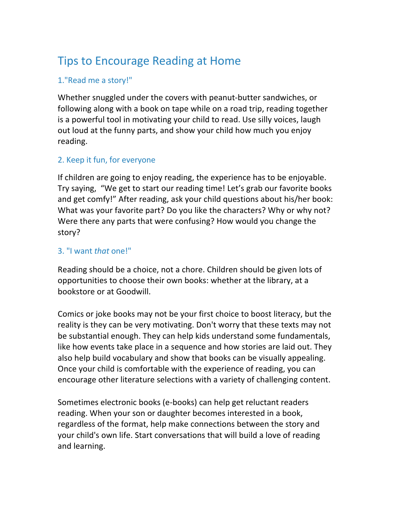# Tips to Encourage Reading at Home

# 1."Read me a story!"

Whether snuggled under the covers with peanut-butter sandwiches, or following along with a book on tape while on a road trip, reading together is a powerful tool in motivating your child to read. Use silly voices, laugh out loud at the funny parts, and show your child how much you enjoy reading. 

### 2. Keep it fun, for everyone

If children are going to enjoy reading, the experience has to be enjoyable. Try saying, "We get to start our reading time! Let's grab our favorite books and get comfy!" After reading, ask your child questions about his/her book: What was your favorite part? Do you like the characters? Why or why not? Were there any parts that were confusing? How would you change the story?

# 3. "I want *that* one!"

Reading should be a choice, not a chore. Children should be given lots of opportunities to choose their own books: whether at the library, at a bookstore or at Goodwill.

Comics or joke books may not be your first choice to boost literacy, but the reality is they can be very motivating. Don't worry that these texts may not be substantial enough. They can help kids understand some fundamentals, like how events take place in a sequence and how stories are laid out. They also help build vocabulary and show that books can be visually appealing. Once your child is comfortable with the experience of reading, you can encourage other literature selections with a variety of challenging content.

Sometimes electronic books (e-books) can help get reluctant readers reading. When your son or daughter becomes interested in a book, regardless of the format, help make connections between the story and your child's own life. Start conversations that will build a love of reading and learning.